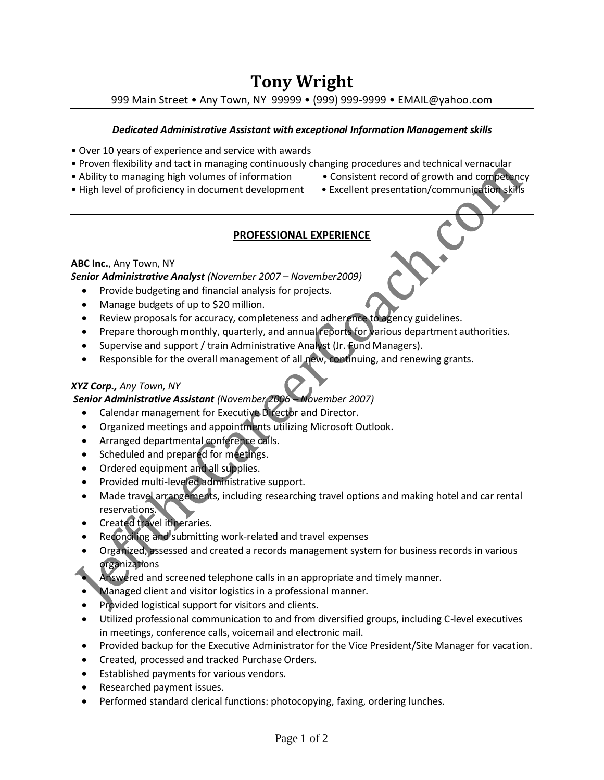# **Tony Wright**

999 Main Street • Any Town, NY 99999 • (999) 999-9999 • EMAIL@yahoo.com

#### *Dedicated Administrative Assistant with exceptional Information Management skills*

- Over 10 years of experience and service with awards
- Proven flexibility and tact in managing continuously changing procedures and technical vernacular
- Ability to managing high volumes of information Consistent record of growth and competency
	-
- High level of proficiency in document development Excellent presentation/communication skills

# **PROFESSIONAL EXPERIENCE**

# **ABC Inc.**, Any Town, NY

*Senior Administrative Analyst (November 2007 – November2009)*

- Provide budgeting and financial analysis for projects.
- Manage budgets of up to \$20 million.
- Review proposals for accuracy, completeness and adherence to agency guidelines.
- Prepare thorough monthly, quarterly, and annual reports for various department authorities.
- Supervise and support / train Administrative Analyst (Jr. Fund Managers).
- Responsible for the overall management of all new, continuing, and renewing grants.

### *XYZ Corp., Any Town, NY*

# *Senior Administrative Assistant (November 2006 – November 2007)*

- Calendar management for Executive Director and Director.
- Organized meetings and appointments utilizing Microsoft Outlook.
- Arranged departmental conference calls.
- Scheduled and prepared for meetings.
- Ordered equipment and all supplies.
- Provided multi-leveled administrative support.
- Made travel arrangements, including researching travel options and making hotel and car rental reservations.
- Created travel itineraries.
- Reconciling and submitting work-related and travel expenses
- Organized, assessed and created a records management system for business records in various organizations
	- Answered and screened telephone calls in an appropriate and timely manner.
- Managed client and visitor logistics in a professional manner.
- Provided logistical support for visitors and clients.
- Utilized professional communication to and from diversified groups, including C-level executives in meetings, conference calls, voicemail and electronic mail.
- Provided backup for the Executive Administrator for the Vice President/Site Manager for vacation.
- Created, processed and tracked Purchase Orders.
- Established payments for various vendors.
- Researched payment issues.
- Performed standard clerical functions: photocopying, faxing, ordering lunches.